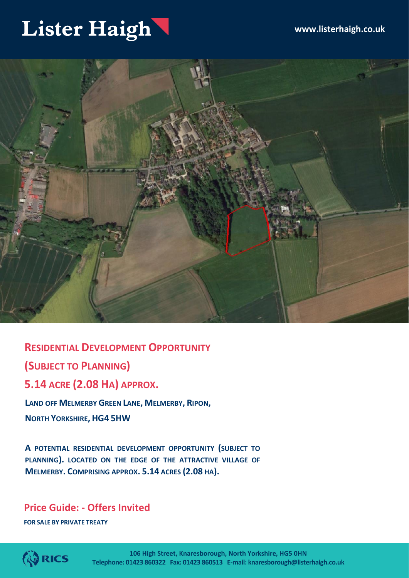### Lister Haigh



**RESIDENTIAL DEVELOPMENT OPPORTUNITY (SUBJECT TO PLANNING) 5.14 ACRE (2.08 HA) APPROX.**

**LAND OFF MELMERBY GREEN LANE, MELMERBY, RIPON, NORTH YORKSHIRE, HG4 5HW**

**A POTENTIAL RESIDENTIAL DEVELOPMENT OPPORTUNITY (SUBJECT TO PLANNING). LOCATED ON THE EDGE OF THE ATTRACTIVE VILLAGE OF MELMERBY. COMPRISING APPROX. 5.14 ACRES (2.08 HA).**

### **Price Guide: - Offers Invited**

**FOR SALE BY PRIVATE TREATY**

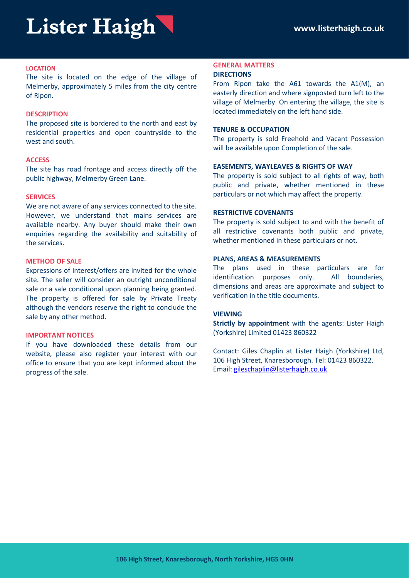#### **LOCATION**

The site is located on the edge of the village of Melmerby, approximately 5 miles from the city centre of Ripon.

#### **DESCRIPTION**

The proposed site is bordered to the north and east by residential properties and open countryside to the west and south.

#### **ACCESS**

The site has road frontage and access directly off the public highway, Melmerby Green Lane.

#### **SERVICES**

We are not aware of any services connected to the site. However, we understand that mains services are available nearby. Any buyer should make their own enquiries regarding the availability and suitability of the services.

#### **METHOD OF SALE**

Expressions of interest/offers are invited for the whole site. The seller will consider an outright unconditional sale or a sale conditional upon planning being granted. The property is offered for sale by Private Treaty although the vendors reserve the right to conclude the sale by any other method.

#### **IMPORTANT NOTICES**

If you have downloaded these details from our website, please also register your interest with our office to ensure that you are kept informed about the progress of the sale.

#### **GENERAL MATTERS DIRECTIONS**

From Ripon take the A61 towards the A1(M), an easterly direction and where signposted turn left to the village of Melmerby. On entering the village, the site is located immediately on the left hand side.

#### **TENURE & OCCUPATION**

The property is sold Freehold and Vacant Possession will be available upon Completion of the sale.

#### **EASEMENTS, WAYLEAVES & RIGHTS OF WAY**

The property is sold subject to all rights of way, both public and private, whether mentioned in these particulars or not which may affect the property.

#### **RESTRICTIVE COVENANTS**

The property is sold subject to and with the benefit of all restrictive covenants both public and private, whether mentioned in these particulars or not.

#### **PLANS, AREAS & MEASUREMENTS**

The plans used in these particulars are for identification purposes only. All boundaries, dimensions and areas are approximate and subject to verification in the title documents.

#### **VIEWING**

**Strictly by appointment** with the agents: Lister Haigh (Yorkshire) Limited 01423 860322

Contact: Giles Chaplin at Lister Haigh (Yorkshire) Ltd, 106 High Street, Knaresborough. Tel: 01423 860322. Email: [gileschaplin@listerhaigh.co.uk](mailto:gileschaplin@listerhaigh.co.uk)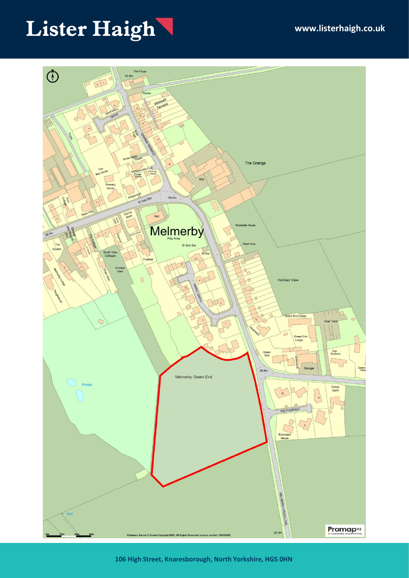# Lister Haigh



**106 High Street, Knaresborough, North Yorkshire, HG5 0HN**